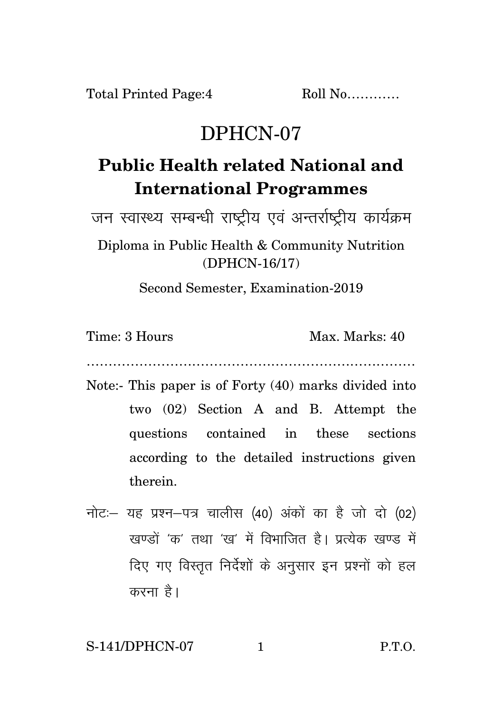## DPHCN-07

## **Public Health related National and International Programmes**

जन स्वास्थ्य सम्बन्धी राष्ट्रीय एवं अन्तर्राष्टीय कार्यक्रम

Diploma in Public Health & Community Nutrition (DPHCN-16/17)

Second Semester, Examination-2019

Time: 3 Hours Max. Marks: 40

…………………………………………………………………

- Note:- This paper is of Forty (40) marks divided into two (02) Section A and B. Attempt the questions contained in these sections according to the detailed instructions given therein.
- नोट: यह प्रश्न-पत्र चालीस (40) अंकों का है जो दो (02) रवण्डों *'क'* तथा 'रव' में विभाजित है। पत्येक रवण्ड में दिए गए विस्तृत निर्देशों के अनुसार इन प्रश्नों को हल करना है।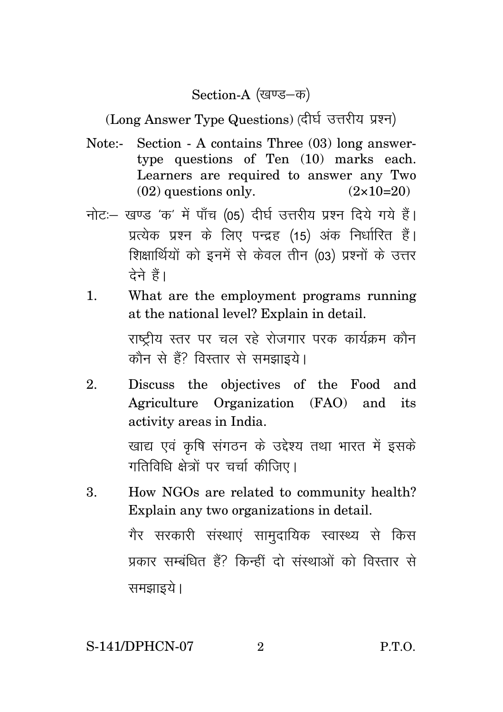Section-A (खण्ड-क)

(Long Answer Type Questions) (दीर्घ उत्तरीय प्रश्न)

- Note:- Section A contains Three (03) long answertype questions of Ten (10) marks each. Learners are required to answer any Two  $(02)$  questions only.  $(2 \times 10=20)$
- नोट: खण्ड 'क' में पाँच (05) दीर्घ उत्तरीय प्रश्न दिये गये हैं। प्रत्येक प्रश्न के लिए पन्द्रह (15) अंक निर्धारित हैं। शिक्षार्थियों को इनमें से केवल तीन (03) प्रश्नों के उत्तर तेने हैं।
- 1. What are the employment programs running at the national level? Explain in detail. राष्टीय स्तर पर चल रहे रोजगार परक कार्यक्रम कौन कौन से हैं? विस्तार से समझाइये।
- 2. Discuss the objectives of the Food and Agriculture Organization (FAO) and its activity areas in India. खाद्य एवं कृषि संगठन के उद्देश्य तथा भारत में इसके गतिविधि क्षेत्रों पर चर्चा कीजिए।
- 3. How NGOs are related to community health? Explain any two organizations in detail. गैर सरकारी संस्थाएं सामुदायिक स्वास्थ्य से किस प्रकार सम्बंधित हैं? किन्हीं दो संस्थाओं को विस्तार से समझाइये ।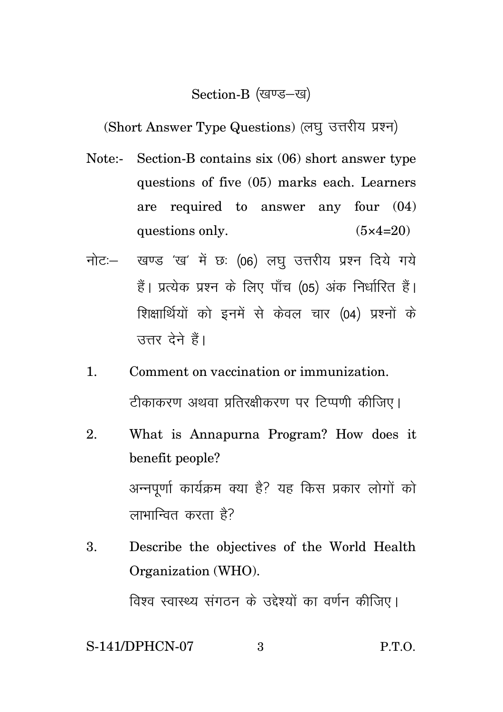## Section-B (खण्ड-ख)

(Short Answer Type Questions) (लघु उत्तरीय प्रश्न)

- Note:- Section-B contains six (06) short answer type questions of five (05) marks each. Learners are required to answer any four (04) questions only.  $(5 \times 4=20)$
- नोट: खण्ड 'ख' में छः (06) लघु उत्तरीय प्रश्न दिये गये हैं। प्रत्येक प्रश्न के लिए पाँच (05) अंक निर्धारित हैं। शिक्षार्थियों को इनमें से केवल चार (04) प्रश्नों के उत्तर देने हैं।
- 1. Comment on vaccination or immunization. टीकाकरण अथवा प्रतिरक्षीकरण पर टिप्पणी कीजिए।
- 2. What is Annapurna Program? How does it benefit people? अन्नपूर्णा कार्यक्रम क्या है? यह किस प्रकार लोगों को लाभान्वित करता है?
- 3. Describe the objectives of the World Health Organization (WHO). विश्व स्वास्थ्य संगठन के उद्देश्यों का वर्णन कीजिए।

## S-141/DPHCN-07 3 P.T.O.